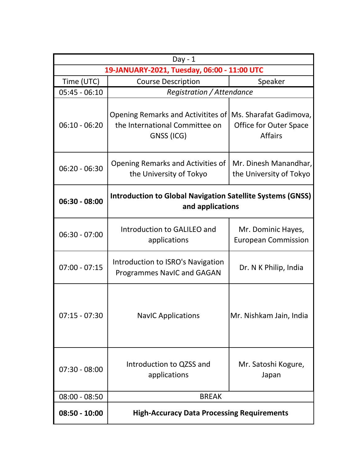| $Day - 1$                                   |                                                                                       |                                                                    |  |  |
|---------------------------------------------|---------------------------------------------------------------------------------------|--------------------------------------------------------------------|--|--|
| 19-JANUARY-2021, Tuesday, 06:00 - 11:00 UTC |                                                                                       |                                                                    |  |  |
| Time (UTC)                                  | <b>Course Description</b>                                                             | Speaker                                                            |  |  |
| $05:45 - 06:10$                             | Registration / Attendance                                                             |                                                                    |  |  |
| $06:10 - 06:20$                             | Opening Remarks and Activitites of<br>the International Committee on<br>GNSS (ICG)    | Ms. Sharafat Gadimova,<br>Office for Outer Space<br><b>Affairs</b> |  |  |
| $06:20 - 06:30$                             | Opening Remarks and Activities of<br>the University of Tokyo                          | Mr. Dinesh Manandhar,<br>the University of Tokyo                   |  |  |
| 06:30 - 08:00                               | <b>Introduction to Global Navigation Satellite Systems (GNSS)</b><br>and applications |                                                                    |  |  |
| $06:30 - 07:00$                             | Introduction to GALILEO and<br>applications                                           | Mr. Dominic Hayes,<br><b>European Commission</b>                   |  |  |
| $07:00 - 07:15$                             | Introduction to ISRO's Navigation<br><b>Programmes NavIC and GAGAN</b>                | Dr. N K Philip, India                                              |  |  |
| $07:15 - 07:30$                             | <b>NavIC Applications</b>                                                             | Mr. Nishkam Jain, India                                            |  |  |
| $07:30 - 08:00$                             | Introduction to QZSS and<br>applications                                              | Mr. Satoshi Kogure,<br>Japan                                       |  |  |
| $08:00 - 08:50$                             | <b>BREAK</b>                                                                          |                                                                    |  |  |
| $08:50 - 10:00$                             | <b>High-Accuracy Data Processing Requirements</b>                                     |                                                                    |  |  |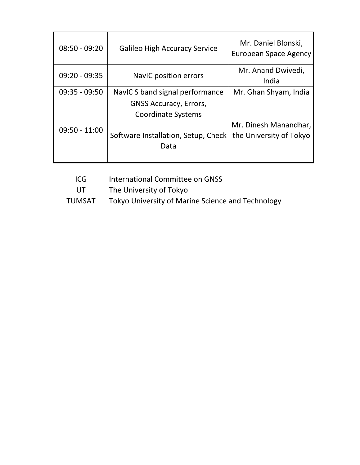| $08:50 - 09:20$ | <b>Galileo High Accuracy Service</b>                                                                      | Mr. Daniel Blonski,<br>European Space Agency     |
|-----------------|-----------------------------------------------------------------------------------------------------------|--------------------------------------------------|
| $09:20 - 09:35$ | NaviC position errors                                                                                     | Mr. Anand Dwivedi,<br>India                      |
| $09:35 - 09:50$ | Navic S band signal performance                                                                           | Mr. Ghan Shyam, India                            |
| $09:50 - 11:00$ | <b>GNSS Accuracy, Errors,</b><br><b>Coordinate Systems</b><br>Software Installation, Setup, Check<br>Data | Mr. Dinesh Manandhar,<br>the University of Tokyo |

ICG International Committee on GNSS

UT The University of Tokyo

TUMSAT Tokyo University of Marine Science and Technology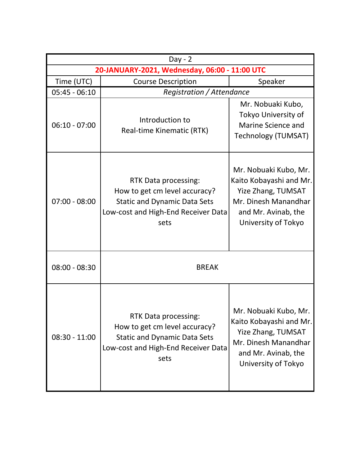| $Day - 2$                                     |                                                                                                                                             |                                                                                                                                                     |  |  |
|-----------------------------------------------|---------------------------------------------------------------------------------------------------------------------------------------------|-----------------------------------------------------------------------------------------------------------------------------------------------------|--|--|
| 20-JANUARY-2021, Wednesday, 06:00 - 11:00 UTC |                                                                                                                                             |                                                                                                                                                     |  |  |
| Time (UTC)                                    | <b>Course Description</b>                                                                                                                   | Speaker                                                                                                                                             |  |  |
| $05:45 - 06:10$                               | Registration / Attendance                                                                                                                   |                                                                                                                                                     |  |  |
| $06:10 - 07:00$                               | Introduction to<br>Real-time Kinematic (RTK)                                                                                                | Mr. Nobuaki Kubo,<br>Tokyo University of<br>Marine Science and<br>Technology (TUMSAT)                                                               |  |  |
| $07:00 - 08:00$                               | RTK Data processing:<br>How to get cm level accuracy?<br><b>Static and Dynamic Data Sets</b><br>Low-cost and High-End Receiver Data<br>sets | Mr. Nobuaki Kubo, Mr.<br>Kaito Kobayashi and Mr.<br><b>Yize Zhang, TUMSAT</b><br>Mr. Dinesh Manandhar<br>and Mr. Avinab, the<br>University of Tokyo |  |  |
| $08:00 - 08:30$                               | <b>BREAK</b>                                                                                                                                |                                                                                                                                                     |  |  |
| $08:30 - 11:00$                               | RTK Data processing:<br>How to get cm level accuracy?<br><b>Static and Dynamic Data Sets</b><br>Low-cost and High-End Receiver Data<br>sets | Mr. Nobuaki Kubo, Mr.<br>Kaito Kobayashi and Mr.<br><b>Yize Zhang, TUMSAT</b><br>Mr. Dinesh Manandhar<br>and Mr. Avinab, the<br>University of Tokyo |  |  |